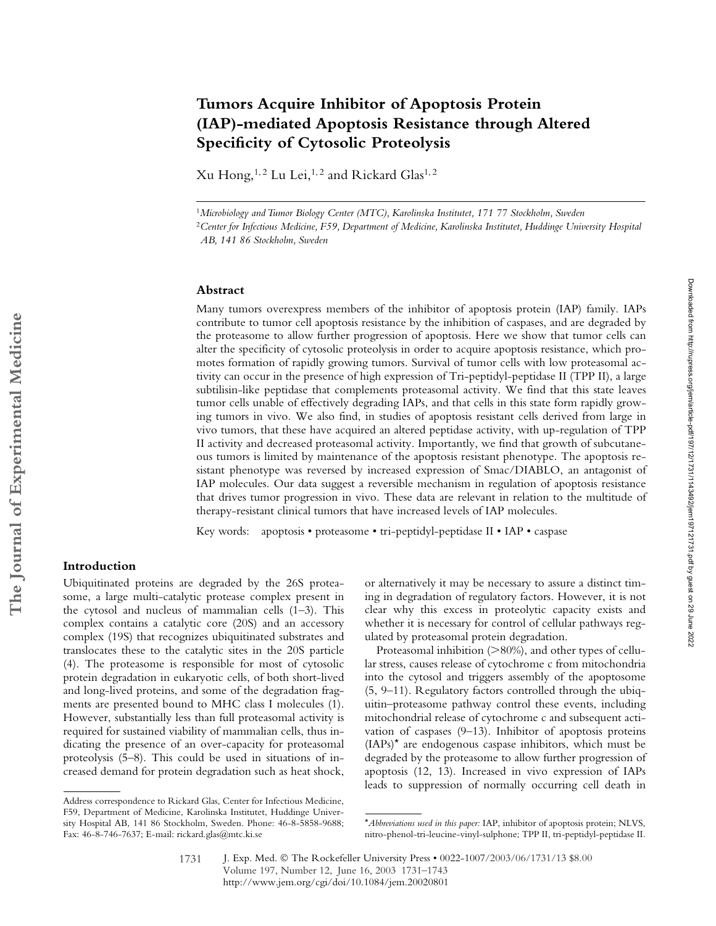# **Tumors Acquire Inhibitor of Apoptosis Protein (IAP)-mediated Apoptosis Resistance through Altered Specificity of Cytosolic Proteolysis**

Xu Hong,<sup>1,2</sup> Lu Lei,<sup>1,2</sup> and Rickard Glas<sup>1,2</sup>

<sup>1</sup>*Microbiology and Tumor Biology Center (MTC), Karolinska Institutet, 171 77 Stockholm, Sweden* <sup>2</sup>*Center for Infectious Medicine, F59, Department of Medicine, Karolinska Institutet, Huddinge University Hospital AB, 141 86 Stockholm, Sweden*

#### **Abstract**

Many tumors overexpress members of the inhibitor of apoptosis protein (IAP) family. IAPs contribute to tumor cell apoptosis resistance by the inhibition of caspases, and are degraded by the proteasome to allow further progression of apoptosis. Here we show that tumor cells can alter the specificity of cytosolic proteolysis in order to acquire apoptosis resistance, which promotes formation of rapidly growing tumors. Survival of tumor cells with low proteasomal activity can occur in the presence of high expression of Tri-peptidyl-peptidase II (TPP II), a large subtilisin-like peptidase that complements proteasomal activity. We find that this state leaves tumor cells unable of effectively degrading IAPs, and that cells in this state form rapidly growing tumors in vivo. We also find, in studies of apoptosis resistant cells derived from large in vivo tumors, that these have acquired an altered peptidase activity, with up-regulation of TPP II activity and decreased proteasomal activity. Importantly, we find that growth of subcutaneous tumors is limited by maintenance of the apoptosis resistant phenotype. The apoptosis resistant phenotype was reversed by increased expression of Smac/DIABLO, an antagonist of IAP molecules. Our data suggest a reversible mechanism in regulation of apoptosis resistance that drives tumor progression in vivo. These data are relevant in relation to the multitude of therapy-resistant clinical tumors that have increased levels of IAP molecules.

Key words: apoptosis • proteasome • tri-peptidyl-peptidase II • IAP • caspase

## **Introduction**

Ubiquitinated proteins are degraded by the 26S proteasome, a large multi-catalytic protease complex present in the cytosol and nucleus of mammalian cells (1–3). This complex contains a catalytic core (20S) and an accessory complex (19S) that recognizes ubiquitinated substrates and translocates these to the catalytic sites in the 20S particle (4). The proteasome is responsible for most of cytosolic protein degradation in eukaryotic cells, of both short-lived and long-lived proteins, and some of the degradation fragments are presented bound to MHC class I molecules (1). However, substantially less than full proteasomal activity is required for sustained viability of mammalian cells, thus indicating the presence of an over-capacity for proteasomal proteolysis (5–8). This could be used in situations of increased demand for protein degradation such as heat shock,

or alternatively it may be necessary to assure a distinct timing in degradation of regulatory factors. However, it is not clear why this excess in proteolytic capacity exists and whether it is necessary for control of cellular pathways regulated by proteasomal protein degradation.

Proteasomal inhibition (>80%), and other types of cellular stress, causes release of cytochrome c from mitochondria into the cytosol and triggers assembly of the apoptosome (5, 9–11). Regulatory factors controlled through the ubiquitin–proteasome pathway control these events, including mitochondrial release of cytochrome c and subsequent activation of caspases (9–13). Inhibitor of apoptosis proteins (IAPs)\* are endogenous caspase inhibitors, which must be degraded by the proteasome to allow further progression of apoptosis (12, 13). Increased in vivo expression of IAPs leads to suppression of normally occurring cell death in

Address correspondence to Rickard Glas, Center for Infectious Medicine, F59, Department of Medicine, Karolinska Institutet, Huddinge University Hospital AB, 141 86 Stockholm, Sweden. Phone: 46-8-5858-9688; Fax: 46-8-746-7637; E-mail: rickard.glas@mtc.ki.se

<sup>\*</sup>*Abbreviations used in this paper:* IAP, inhibitor of apoptosis protein; NLVS, nitro-phenol-tri-leucine-vinyl-sulphone; TPP II, tri-peptidyl-peptidase II.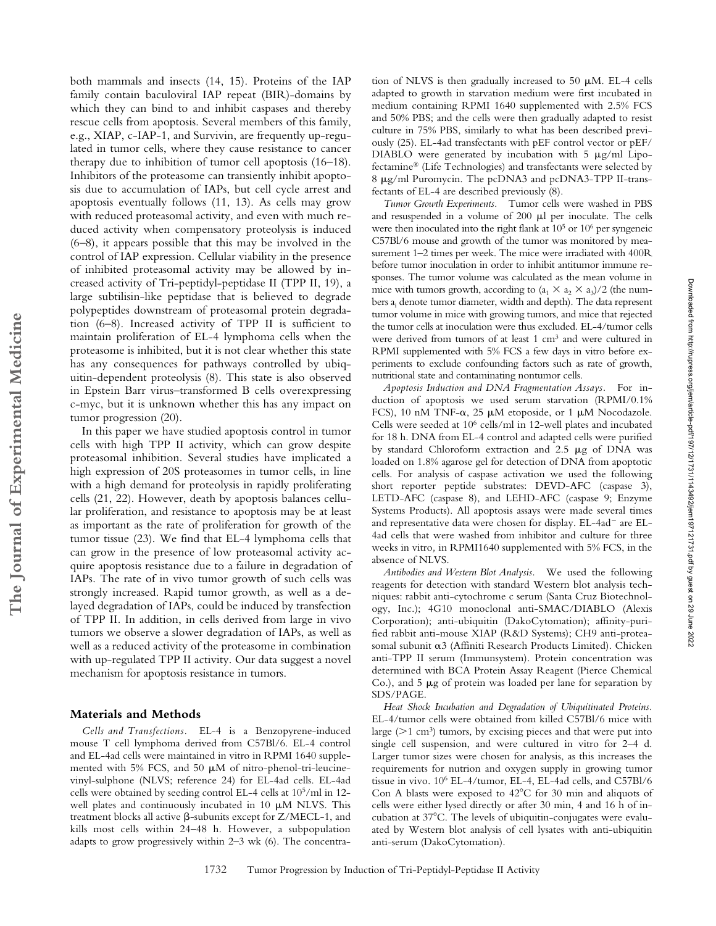both mammals and insects (14, 15). Proteins of the IAP family contain baculoviral IAP repeat (BIR)-domains by which they can bind to and inhibit caspases and thereby rescue cells from apoptosis. Several members of this family, e.g., XIAP, c-IAP-1, and Survivin, are frequently up-regulated in tumor cells, where they cause resistance to cancer therapy due to inhibition of tumor cell apoptosis (16–18). Inhibitors of the proteasome can transiently inhibit apoptosis due to accumulation of IAPs, but cell cycle arrest and apoptosis eventually follows (11, 13). As cells may grow with reduced proteasomal activity, and even with much reduced activity when compensatory proteolysis is induced (6–8), it appears possible that this may be involved in the control of IAP expression. Cellular viability in the presence of inhibited proteasomal activity may be allowed by increased activity of Tri-peptidyl-peptidase II (TPP II, 19), a large subtilisin-like peptidase that is believed to degrade polypeptides downstream of proteasomal protein degradation (6–8). Increased activity of TPP II is sufficient to maintain proliferation of EL-4 lymphoma cells when the proteasome is inhibited, but it is not clear whether this state has any consequences for pathways controlled by ubiquitin-dependent proteolysis (8). This state is also observed in Epstein Barr virus–transformed B cells overexpressing c-myc, but it is unknown whether this has any impact on tumor progression (20).

In this paper we have studied apoptosis control in tumor cells with high TPP II activity, which can grow despite proteasomal inhibition. Several studies have implicated a high expression of 20S proteasomes in tumor cells, in line with a high demand for proteolysis in rapidly proliferating cells (21, 22). However, death by apoptosis balances cellular proliferation, and resistance to apoptosis may be at least as important as the rate of proliferation for growth of the tumor tissue (23). We find that EL-4 lymphoma cells that can grow in the presence of low proteasomal activity acquire apoptosis resistance due to a failure in degradation of IAPs. The rate of in vivo tumor growth of such cells was strongly increased. Rapid tumor growth, as well as a delayed degradation of IAPs, could be induced by transfection of TPP II. In addition, in cells derived from large in vivo tumors we observe a slower degradation of IAPs, as well as well as a reduced activity of the proteasome in combination with up-regulated TPP II activity. Our data suggest a novel mechanism for apoptosis resistance in tumors.

#### **Materials and Methods**

*Cells and Transfections.* EL-4 is a Benzopyrene-induced mouse T cell lymphoma derived from C57Bl/6. EL-4 control and EL-4ad cells were maintained in vitro in RPMI 1640 supplemented with 5% FCS, and 50  $\mu$ M of nitro-phenol-tri-leucinevinyl-sulphone (NLVS; reference 24) for EL-4ad cells. EL-4ad cells were obtained by seeding control EL-4 cells at 105/ml in 12 well plates and continuously incubated in 10  $\mu$ M NLVS. This treatment blocks all active  $\beta$ -subunits except for Z/MECL-1, and kills most cells within 24–48 h. However, a subpopulation adapts to grow progressively within 2–3 wk (6). The concentra-

tion of NLVS is then gradually increased to 50  $\mu$ M. EL-4 cells adapted to growth in starvation medium were first incubated in medium containing RPMI 1640 supplemented with 2.5% FCS and 50% PBS; and the cells were then gradually adapted to resist culture in 75% PBS, similarly to what has been described previously (25). EL-4ad transfectants with pEF control vector or pEF/ DIABLO were generated by incubation with  $5 \mu g/ml$  Lipofectamine® (Life Technologies) and transfectants were selected by 8  $\mu$ g/ml Puromycin. The pcDNA3 and pcDNA3-TPP II-transfectants of EL-4 are described previously (8).

*Tumor Growth Experiments.* Tumor cells were washed in PBS and resuspended in a volume of  $200 \mu l$  per inoculate. The cells were then inoculated into the right flank at  $10<sup>5</sup>$  or  $10<sup>6</sup>$  per syngeneic C57Bl/6 mouse and growth of the tumor was monitored by measurement 1–2 times per week. The mice were irradiated with 400R before tumor inoculation in order to inhibit antitumor immune responses. The tumor volume was calculated as the mean volume in mice with tumors growth, according to  $(a_1 \times a_2 \times a_3)/2$  (the numbers a<sub>i</sub> denote tumor diameter, width and depth). The data represent tumor volume in mice with growing tumors, and mice that rejected the tumor cells at inoculation were thus excluded. EL-4/tumor cells were derived from tumors of at least 1 cm3 and were cultured in RPMI supplemented with 5% FCS a few days in vitro before experiments to exclude confounding factors such as rate of growth, nutritional state and contaminating nontumor cells.

*Apoptosis Induction and DNA Fragmentation Assays.* For induction of apoptosis we used serum starvation (RPMI/0.1% FCS), 10 nM TNF- $\alpha$ , 25 µM etoposide, or 1 µM Nocodazole. Cells were seeded at 106 cells/ml in 12-well plates and incubated for 18 h. DNA from EL-4 control and adapted cells were purified by standard Chloroform extraction and  $2.5 \mu g$  of DNA was loaded on 1.8% agarose gel for detection of DNA from apoptotic cells. For analysis of caspase activation we used the following short reporter peptide substrates: DEVD-AFC (caspase 3), LETD-AFC (caspase 8), and LEHD-AFC (caspase 9; Enzyme Systems Products). All apoptosis assays were made several times and representative data were chosen for display. EL-4ad<sup>-</sup> are EL-4ad cells that were washed from inhibitor and culture for three weeks in vitro*,* in RPMI1640 supplemented with 5% FCS, in the absence of NLVS.

*Antibodies and Western Blot Analysis.* We used the following reagents for detection with standard Western blot analysis techniques: rabbit anti-cytochrome c serum (Santa Cruz Biotechnology, Inc.); 4G10 monoclonal anti-SMAC/DIABLO (Alexis Corporation); anti-ubiquitin (DakoCytomation); affinity-purified rabbit anti-mouse XIAP (R&D Systems); CH9 anti-proteasomal subunit  $\alpha$ 3 (Affiniti Research Products Limited). Chicken anti-TPP II serum (Immunsystem). Protein concentration was determined with BCA Protein Assay Reagent (Pierce Chemical Co.), and  $5 \mu g$  of protein was loaded per lane for separation by SDS/PAGE.

*Heat Shock Incubation and Degradation of Ubiquitinated Proteins.* EL-4/tumor cells were obtained from killed C57Bl/6 mice with large ( $>1$  cm<sup>3</sup>) tumors, by excising pieces and that were put into single cell suspension, and were cultured in vitro for 2–4 d. Larger tumor sizes were chosen for analysis, as this increases the requirements for nutrion and oxygen supply in growing tumor tissue in vivo. 106 EL-4/tumor, EL-4, EL-4ad cells, and C57Bl/6 Con A blasts were exposed to  $42^{\circ}$ C for 30 min and aliquots of cells were either lysed directly or after 30 min, 4 and 16 h of incubation at 37°C. The levels of ubiquitin-conjugates were evaluated by Western blot analysis of cell lysates with anti-ubiquitin anti-serum (DakoCytomation).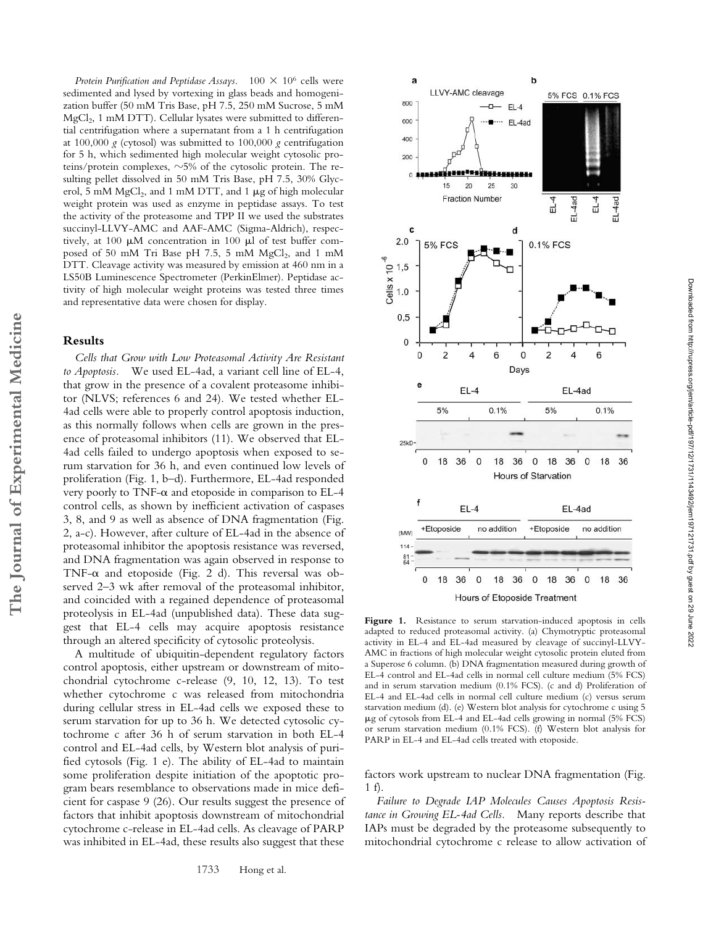*Protein Purification and Peptidase Assays.*  $100 \times 10^6$  cells were sedimented and lysed by vortexing in glass beads and homogenization buffer (50 mM Tris Base, pH 7.5, 250 mM Sucrose, 5 mM  $MgCl<sub>2</sub>$ , 1 mM DTT). Cellular lysates were submitted to differential centrifugation where a supernatant from a 1 h centrifugation at 100,000 *g* (cytosol) was submitted to 100,000 *g* centrifugation for 5 h, which sedimented high molecular weight cytosolic proteins/protein complexes,  $\sim$ 5% of the cytosolic protein. The resulting pellet dissolved in 50 mM Tris Base, pH 7.5, 30% Glycerol, 5 mM MgCl<sub>2</sub>, and 1 mM DTT, and 1  $\mu$ g of high molecular weight protein was used as enzyme in peptidase assays. To test the activity of the proteasome and TPP II we used the substrates succinyl-LLVY-AMC and AAF-AMC (Sigma-Aldrich), respectively, at 100  $\mu$ M concentration in 100  $\mu$ l of test buffer composed of 50 mM Tri Base pH 7.5, 5 mM  $MgCl<sub>2</sub>$ , and 1 mM DTT. Cleavage activity was measured by emission at 460 nm in a LS50B Luminescence Spectrometer (PerkinElmer). Peptidase activity of high molecular weight proteins was tested three times and representative data were chosen for display.

## **Results**

*Cells that Grow with Low Proteasomal Activity Are Resistant to Apoptosis.* We used EL-4ad, a variant cell line of EL-4, that grow in the presence of a covalent proteasome inhibitor (NLVS; references 6 and 24). We tested whether EL-4ad cells were able to properly control apoptosis induction, as this normally follows when cells are grown in the presence of proteasomal inhibitors (11). We observed that EL-4ad cells failed to undergo apoptosis when exposed to serum starvation for 36 h, and even continued low levels of proliferation (Fig. 1, b–d). Furthermore, EL-4ad responded very poorly to TNF- $\alpha$  and etoposide in comparison to EL-4 control cells, as shown by inefficient activation of caspases 3, 8, and 9 as well as absence of DNA fragmentation (Fig. 2, a-c). However, after culture of EL-4ad in the absence of proteasomal inhibitor the apoptosis resistance was reversed, and DNA fragmentation was again observed in response to TNF- $\alpha$  and etoposide (Fig. 2 d). This reversal was observed 2–3 wk after removal of the proteasomal inhibitor, and coincided with a regained dependence of proteasomal proteolysis in EL-4ad (unpublished data). These data suggest that EL-4 cells may acquire apoptosis resistance through an altered specificity of cytosolic proteolysis.

A multitude of ubiquitin-dependent regulatory factors control apoptosis, either upstream or downstream of mitochondrial cytochrome c-release (9, 10, 12, 13). To test whether cytochrome c was released from mitochondria during cellular stress in EL-4ad cells we exposed these to serum starvation for up to 36 h. We detected cytosolic cytochrome c after 36 h of serum starvation in both EL-4 control and EL-4ad cells, by Western blot analysis of purified cytosols (Fig. 1 e). The ability of EL-4ad to maintain some proliferation despite initiation of the apoptotic program bears resemblance to observations made in mice deficient for caspase 9 (26). Our results suggest the presence of factors that inhibit apoptosis downstream of mitochondrial cytochrome c-release in EL-4ad cells. As cleavage of PARP was inhibited in EL-4ad, these results also suggest that these



36 Figure 1. Resistance to serum starvation-induced apoptosis in cells adapted to reduced proteasomal activity. (a) Chymotryptic proteasomal activity in EL-4 and EL-4ad measured by cleavage of succinyl-LLVY-AMC in fractions of high molecular weight cytosolic protein eluted from a Superose 6 column. (b) DNA fragmentation measured during growth of EL-4 control and EL-4ad cells in normal cell culture medium (5% FCS) and in serum starvation medium (0.1% FCS). (c and d) Proliferation of EL-4 and EL-4ad cells in normal cell culture medium (c) versus serum starvation medium (d). (e) Western blot analysis for cytochrome c using 5 g of cytosols from EL-4 and EL-4ad cells growing in normal (5% FCS)

factors work upstream to nuclear DNA fragmentation (Fig. 1 f).

or serum starvation medium (0.1% FCS). (f) Western blot analysis for

PARP in EL-4 and EL-4ad cells treated with etoposide.

*Failure to Degrade IAP Molecules Causes Apoptosis Resistance in Growing EL-4ad Cells.* Many reports describe that IAPs must be degraded by the proteasome subsequently to mitochondrial cytochrome c release to allow activation of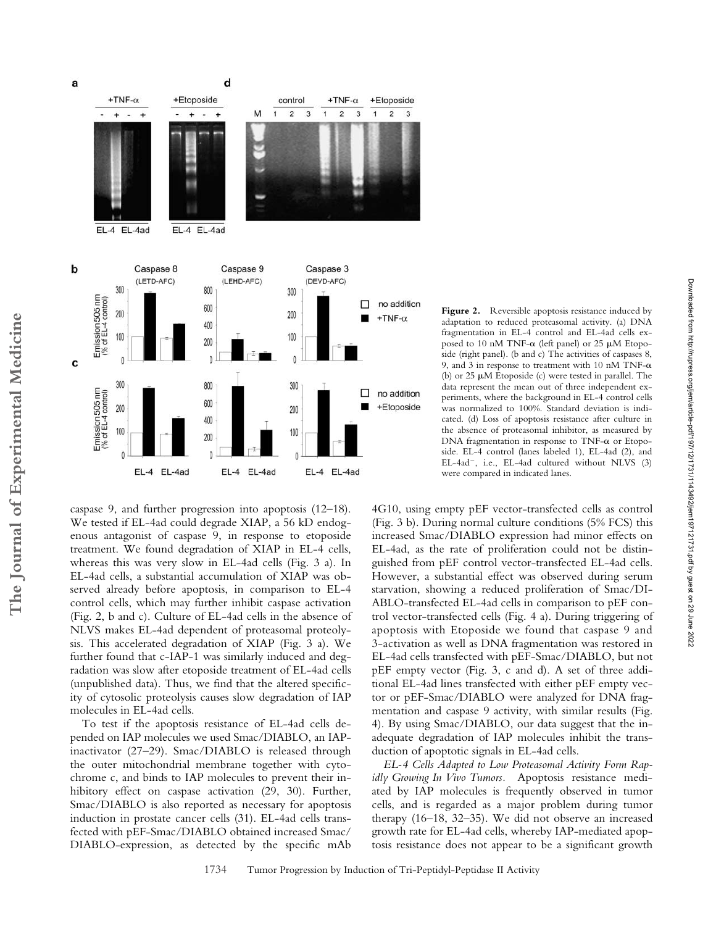a

b





data represent the mean out of three independent experiments, where the background in EL-4 control cells was normalized to 100%. Standard deviation is indicated. (d) Loss of apoptosis resistance after culture in the absence of proteasomal inhibitor, as measured by DNA fragmentation in response to TNF- $\alpha$  or Etoposide. EL-4 control (lanes labeled 1), EL-4ad (2), and EL-4ad<sup>-</sup>, i.e., EL-4ad cultured without NLVS (3) were compared in indicated lanes.

Downloaded from http://rupress.org/jem/article-pdf/197/12/1731/1143492/jem197121731.pdf by guest on 29 June 2022

Downloaded from http://rupress.org/jem/article-pdf/197/121/131/143492/jem197121731.pdf by guest on 29 June 2022

Figure 2. Reversible apoptosis resistance induced by adaptation to reduced proteasomal activity. (a) DNA fragmentation in EL-4 control and EL-4ad cells exposed to 10 nM TNF- $\alpha$  (left panel) or 25  $\mu$ M Etoposide (right panel). (b and c) The activities of caspases 8, 9, and 3 in response to treatment with 10 nM TNF- $\alpha$ (b) or  $25 \mu M$  Etoposide (c) were tested in parallel. The

caspase 9, and further progression into apoptosis (12–18). We tested if EL-4ad could degrade XIAP, a 56 kD endogenous antagonist of caspase 9, in response to etoposide treatment. We found degradation of XIAP in EL-4 cells, whereas this was very slow in EL-4ad cells (Fig. 3 a). In EL-4ad cells, a substantial accumulation of XIAP was observed already before apoptosis, in comparison to EL-4 control cells, which may further inhibit caspase activation (Fig. 2, b and c). Culture of EL-4ad cells in the absence of NLVS makes EL-4ad dependent of proteasomal proteolysis. This accelerated degradation of XIAP (Fig. 3 a). We further found that c-IAP-1 was similarly induced and degradation was slow after etoposide treatment of EL-4ad cells (unpublished data). Thus, we find that the altered specificity of cytosolic proteolysis causes slow degradation of IAP molecules in EL-4ad cells.

To test if the apoptosis resistance of EL-4ad cells depended on IAP molecules we used Smac/DIABLO, an IAPinactivator (27–29). Smac/DIABLO is released through the outer mitochondrial membrane together with cytochrome c, and binds to IAP molecules to prevent their inhibitory effect on caspase activation (29, 30). Further, Smac/DIABLO is also reported as necessary for apoptosis induction in prostate cancer cells (31). EL-4ad cells transfected with pEF-Smac/DIABLO obtained increased Smac/ DIABLO-expression, as detected by the specific mAb

4G10, using empty pEF vector-transfected cells as control (Fig. 3 b). During normal culture conditions (5% FCS) this increased Smac/DIABLO expression had minor effects on EL-4ad, as the rate of proliferation could not be distinguished from pEF control vector-transfected EL-4ad cells. However, a substantial effect was observed during serum starvation, showing a reduced proliferation of Smac/DI-ABLO-transfected EL-4ad cells in comparison to pEF control vector-transfected cells (Fig. 4 a). During triggering of apoptosis with Etoposide we found that caspase 9 and 3-activation as well as DNA fragmentation was restored in EL-4ad cells transfected with pEF-Smac/DIABLO, but not pEF empty vector (Fig. 3, c and d). A set of three additional EL-4ad lines transfected with either pEF empty vector or pEF-Smac/DIABLO were analyzed for DNA fragmentation and caspase 9 activity, with similar results (Fig. 4). By using Smac/DIABLO, our data suggest that the inadequate degradation of IAP molecules inhibit the transduction of apoptotic signals in EL-4ad cells.

*EL-4 Cells Adapted to Low Proteasomal Activity Form Rapidly Growing In Vivo Tumors.* Apoptosis resistance mediated by IAP molecules is frequently observed in tumor cells, and is regarded as a major problem during tumor therapy (16–18, 32–35). We did not observe an increased growth rate for EL-4ad cells, whereby IAP-mediated apoptosis resistance does not appear to be a significant growth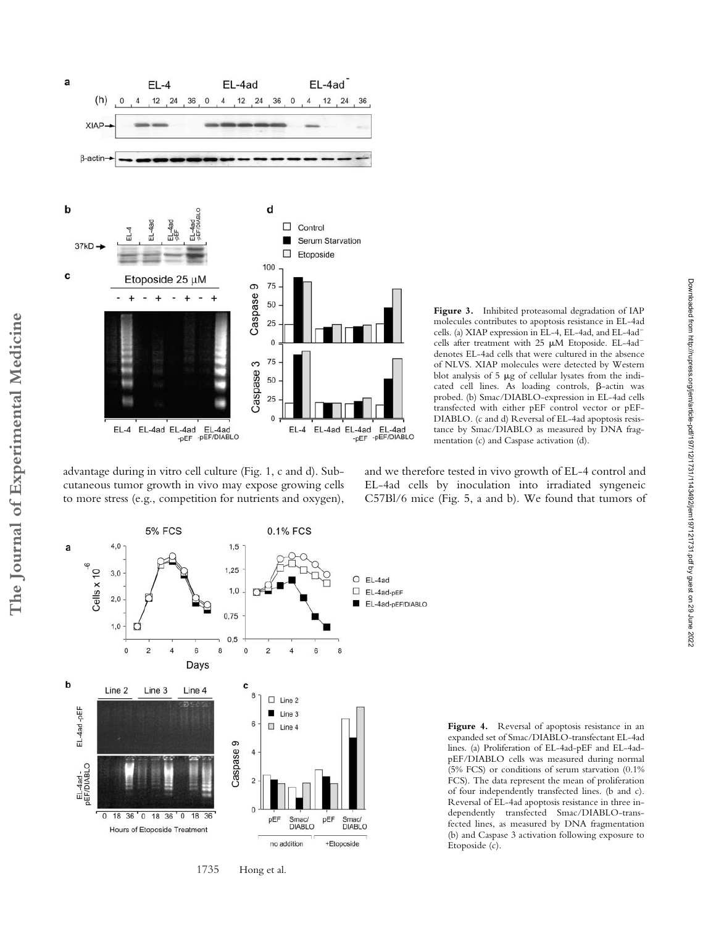

**Figure 3.** Inhibited proteasomal degradation of IAP molecules contributes to apoptosis resistance in EL-4ad cells. (a) XIAP expression in EL-4, EL-4ad, and EL-4ad cells after treatment with  $25 \mu M$  Etoposide. EL-4ad<sup>-</sup> denotes EL-4ad cells that were cultured in the absence of NLVS. XIAP molecules were detected by Western blot analysis of  $5 \mu g$  of cellular lysates from the indicated cell lines. As loading controls,  $\beta$ -actin was probed. (b) Smac/DIABLO-expression in EL-4ad cells transfected with either pEF control vector or pEF-DIABLO. (c and d) Reversal of EL-4ad apoptosis resistance by Smac/DIABLO as measured by DNA fragmentation (c) and Caspase activation (d).

advantage during in vitro cell culture (Fig. 1, c and d). Subcutaneous tumor growth in vivo may expose growing cells to more stress (e.g., competition for nutrients and oxygen), and we therefore tested in vivo growth of EL-4 control and EL-4ad cells by inoculation into irradiated syngeneic C57Bl/6 mice (Fig. 5, a and b). We found that tumors of



1735 Hong et al.

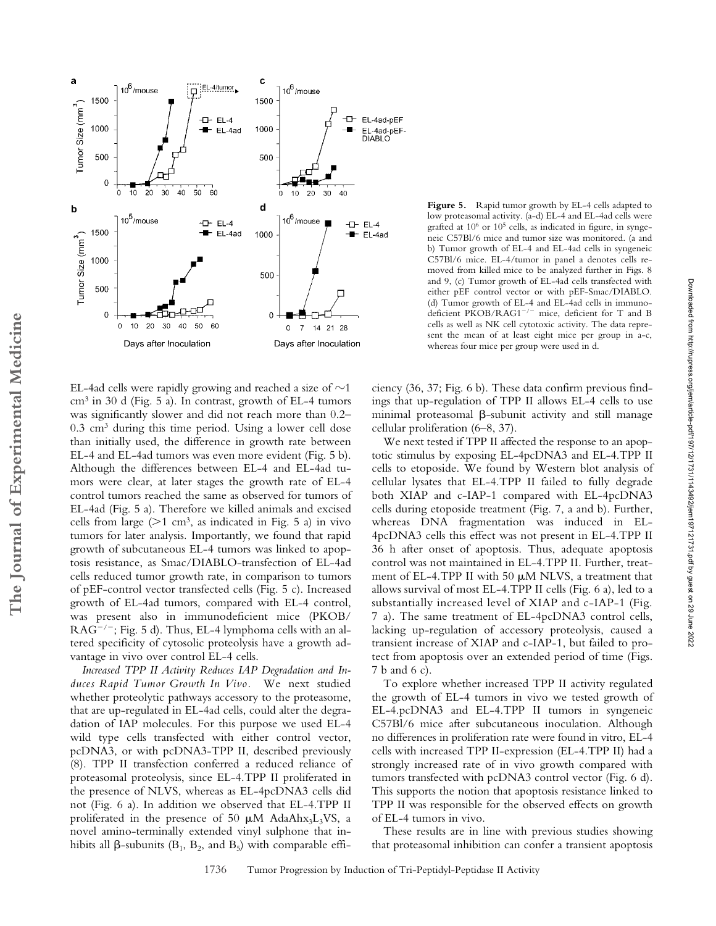

EL-4ad cells were rapidly growing and reached a size of  $\sim$ 1  $cm<sup>3</sup>$  in 30 d (Fig. 5 a). In contrast, growth of EL-4 tumors was significantly slower and did not reach more than 0.2– 0.3 cm3 during this time period. Using a lower cell dose than initially used, the difference in growth rate between EL-4 and EL-4ad tumors was even more evident (Fig. 5 b). Although the differences between EL-4 and EL-4ad tumors were clear, at later stages the growth rate of EL-4 control tumors reached the same as observed for tumors of EL-4ad (Fig. 5 a). Therefore we killed animals and excised cells from large ( $>1$  cm<sup>3</sup>, as indicated in Fig. 5 a) in vivo tumors for later analysis*.* Importantly, we found that rapid growth of subcutaneous EL-4 tumors was linked to apoptosis resistance, as Smac/DIABLO-transfection of EL-4ad cells reduced tumor growth rate, in comparison to tumors of pEF-control vector transfected cells (Fig. 5 c). Increased growth of EL-4ad tumors, compared with EL-4 control, was present also in immunodeficient mice (PKOB/  $RAG^{-/-}$ ; Fig. 5 d). Thus, EL-4 lymphoma cells with an altered specificity of cytosolic proteolysis have a growth advantage in vivo over control EL-4 cells.

**The Journal of Experimental Medicine**

The Journal of Experimental Medicine

*Increased TPP II Activity Reduces IAP Degradation and Induces Rapid Tumor Growth In Vivo.* We next studied whether proteolytic pathways accessory to the proteasome, that are up-regulated in EL-4ad cells, could alter the degradation of IAP molecules. For this purpose we used EL-4 wild type cells transfected with either control vector, pcDNA3, or with pcDNA3-TPP II, described previously (8). TPP II transfection conferred a reduced reliance of proteasomal proteolysis, since EL-4.TPP II proliferated in the presence of NLVS, whereas as EL-4pcDNA3 cells did not (Fig. 6 a). In addition we observed that EL-4.TPP II proliferated in the presence of 50  $\mu$ M AdaAhx<sub>3</sub>L<sub>3</sub>VS, a novel amino-terminally extended vinyl sulphone that inhibits all  $\beta$ -subunits (B<sub>1</sub>, B<sub>2</sub>, and B<sub>5</sub>) with comparable effi-

Figure 5. Rapid tumor growth by EL-4 cells adapted to low proteasomal activity. (a-d) EL-4 and EL-4ad cells were grafted at 106 or 105 cells, as indicated in figure, in syngeneic C57Bl/6 mice and tumor size was monitored. (a and b) Tumor growth of EL-4 and EL-4ad cells in syngeneic C57Bl/6 mice. EL-4/tumor in panel a denotes cells removed from killed mice to be analyzed further in Figs. 8 and 9, (c) Tumor growth of EL-4ad cells transfected with either pEF control vector or with pEF-Smac/DIABLO. (d) Tumor growth of EL-4 and EL-4ad cells in immunodeficient PKOB/RAG1<sup>-/-</sup> mice, deficient for T and B cells as well as NK cell cytotoxic activity. The data represent the mean of at least eight mice per group in a-c, whereas four mice per group were used in d.

ciency (36, 37; Fig. 6 b). These data confirm previous findings that up-regulation of TPP II allows EL-4 cells to use minimal proteasomal  $\beta$ -subunit activity and still manage cellular proliferation (6–8, 37).

We next tested if TPP II affected the response to an apoptotic stimulus by exposing EL-4pcDNA3 and EL-4.TPP II cells to etoposide. We found by Western blot analysis of cellular lysates that EL-4.TPP II failed to fully degrade both XIAP and c-IAP-1 compared with EL-4pcDNA3 cells during etoposide treatment (Fig. 7, a and b). Further, whereas DNA fragmentation was induced in EL-4pcDNA3 cells this effect was not present in EL-4.TPP II 36 h after onset of apoptosis. Thus, adequate apoptosis control was not maintained in EL-4.TPP II. Further, treatment of EL-4.TPP II with 50  $\mu$ M NLVS, a treatment that allows survival of most EL-4.TPP II cells (Fig. 6 a), led to a substantially increased level of XIAP and c-IAP-1 (Fig. 7 a). The same treatment of EL-4pcDNA3 control cells, lacking up-regulation of accessory proteolysis, caused a transient increase of XIAP and c-IAP-1, but failed to protect from apoptosis over an extended period of time (Figs. 7 b and 6 c).

To explore whether increased TPP II activity regulated the growth of EL-4 tumors in vivo we tested growth of EL-4.pcDNA3 and EL-4.TPP II tumors in syngeneic C57Bl/6 mice after subcutaneous inoculation. Although no differences in proliferation rate were found in vitro, EL-4 cells with increased TPP II-expression (EL-4.TPP II) had a strongly increased rate of in vivo growth compared with tumors transfected with pcDNA3 control vector (Fig. 6 d). This supports the notion that apoptosis resistance linked to TPP II was responsible for the observed effects on growth of EL-4 tumors in vivo*.*

These results are in line with previous studies showing that proteasomal inhibition can confer a transient apoptosis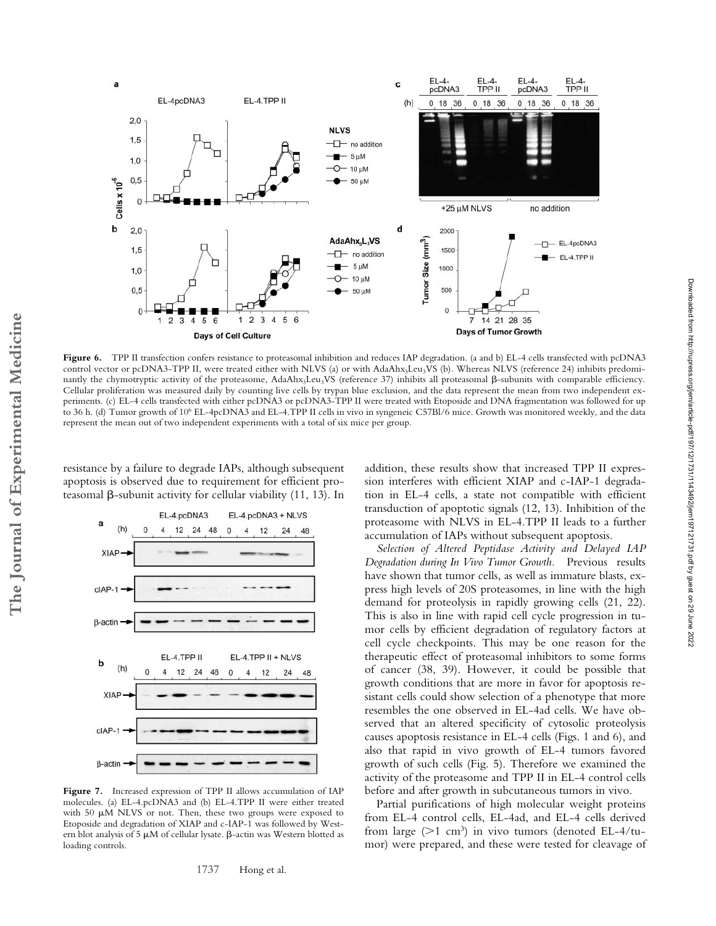

Figure 6. TPP II transfection confers resistance to proteasomal inhibition and reduces IAP degradation. (a and b) EL-4 cells transfected with pcDNA3 control vector or pcDNA3-TPP II, were treated either with NLVS (a) or with AdaAhx<sub>3</sub>Leu<sub>3</sub>VS (b). Whereas NLVS (reference 24) inhibits predominantly the chymotryptic activity of the proteasome, AdaAhx3Leu3VS (reference 37) inhibits all proteasomal  $\beta$ -subunits with comparable efficiency. Cellular proliferation was measured daily by counting live cells by trypan blue exclusion, and the data represent the mean from two independent experiments. (c) EL-4 cells transfected with either pcDNA3 or pcDNA3-TPP II were treated with Etoposide and DNA fragmentation was followed for up to 36 h. (d) Tumor growth of 106 EL-4pcDNA3 and EL-4.TPP II cells in vivo in syngeneic C57Bl/6 mice. Growth was monitored weekly, and the data represent the mean out of two independent experiments with a total of six mice per group.

resistance by a failure to degrade IAPs, although subsequent apoptosis is observed due to requirement for efficient proteasomal  $\beta$ -subunit activity for cellular viability (11, 13). In



Figure 7. Increased expression of TPP II allows accumulation of IAP molecules. (a) EL-4.pcDNA3 and (b) EL-4.TPP II were either treated with 50  $\mu$ M NLVS or not. Then, these two groups were exposed to Etoposide and degradation of XIAP and c-IAP-1 was followed by Western blot analysis of 5  $\mu$ M of cellular lysate.  $\beta$ -actin was Western blotted as loading controls.

1737 Hong et al.

addition, these results show that increased TPP II expression interferes with efficient XIAP and c-IAP-1 degradation in EL-4 cells, a state not compatible with efficient transduction of apoptotic signals (12, 13). Inhibition of the proteasome with NLVS in EL-4.TPP II leads to a further accumulation of IAPs without subsequent apoptosis.

*Selection of Altered Peptidase Activity and Delayed IAP Degradation during In Vivo Tumor Growth.* Previous results have shown that tumor cells, as well as immature blasts, express high levels of 20S proteasomes, in line with the high demand for proteolysis in rapidly growing cells (21, 22). This is also in line with rapid cell cycle progression in tumor cells by efficient degradation of regulatory factors at cell cycle checkpoints. This may be one reason for the therapeutic effect of proteasomal inhibitors to some forms of cancer (38, 39). However, it could be possible that growth conditions that are more in favor for apoptosis resistant cells could show selection of a phenotype that more resembles the one observed in EL-4ad cells. We have observed that an altered specificity of cytosolic proteolysis causes apoptosis resistance in EL-4 cells (Figs. 1 and 6), and also that rapid in vivo growth of EL-4 tumors favored growth of such cells (Fig. 5). Therefore we examined the activity of the proteasome and TPP II in EL-4 control cells before and after growth in subcutaneous tumors in vivo.

Partial purifications of high molecular weight proteins from EL-4 control cells, EL-4ad, and EL-4 cells derived from large ( $>1$  cm<sup>3</sup>) in vivo tumors (denoted EL-4/tumor) were prepared, and these were tested for cleavage of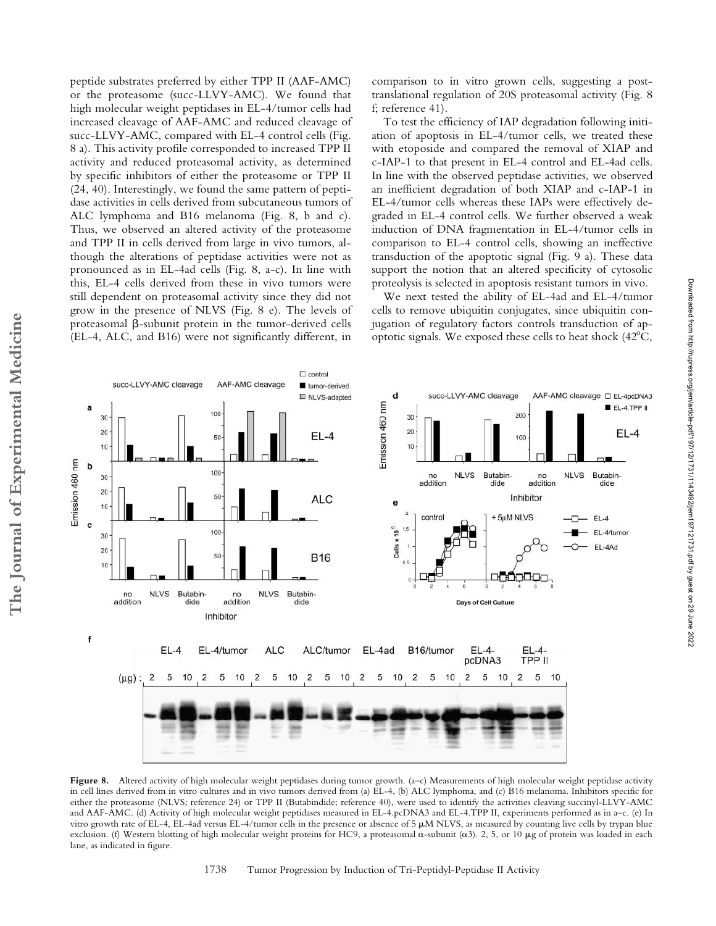peptide substrates preferred by either TPP II (AAF-AMC) or the proteasome (succ-LLVY-AMC). We found that high molecular weight peptidases in EL-4/tumor cells had increased cleavage of AAF-AMC and reduced cleavage of succ-LLVY-AMC, compared with EL-4 control cells (Fig. 8 a). This activity profile corresponded to increased TPP II activity and reduced proteasomal activity, as determined by specific inhibitors of either the proteasome or TPP II (24, 40). Interestingly, we found the same pattern of peptidase activities in cells derived from subcutaneous tumors of ALC lymphoma and B16 melanoma (Fig. 8, b and c). Thus, we observed an altered activity of the proteasome and TPP II in cells derived from large in vivo tumors, although the alterations of peptidase activities were not as pronounced as in EL-4ad cells (Fig. 8, a-c). In line with this, EL-4 cells derived from these in vivo tumors were still dependent on proteasomal activity since they did not grow in the presence of NLVS (Fig. 8 e). The levels of proteasomal  $\beta$ -subunit protein in the tumor-derived cells (EL-4, ALC, and B16) were not significantly different, in

comparison to in vitro grown cells, suggesting a posttranslational regulation of 20S proteasomal activity (Fig. 8 f; reference 41).

To test the efficiency of IAP degradation following initiation of apoptosis in EL-4/tumor cells, we treated these with etoposide and compared the removal of XIAP and c-IAP-1 to that present in EL-4 control and EL-4ad cells. In line with the observed peptidase activities, we observed an inefficient degradation of both XIAP and c-IAP-1 in EL-4/tumor cells whereas these IAPs were effectively degraded in EL-4 control cells. We further observed a weak induction of DNA fragmentation in EL-4/tumor cells in comparison to EL-4 control cells, showing an ineffective transduction of the apoptotic signal (Fig. 9 a). These data support the notion that an altered specificity of cytosolic proteolysis is selected in apoptosis resistant tumors in vivo.

We next tested the ability of EL-4ad and EL-4/tumor cells to remove ubiquitin conjugates, since ubiquitin conjugation of regulatory factors controls transduction of apoptotic signals. We exposed these cells to heat shock (42C,



Figure 8. Altered activity of high molecular weight peptidases during tumor growth. (a–c) Measurements of high molecular weight peptidase activity in cell lines derived from in vitro cultures and in vivo tumors derived from (a) EL-4, (b) ALC lymphoma, and (c) B16 melanoma. Inhibitors specific for either the proteasome (NLVS; reference 24) or TPP II (Butabindide; reference 40), were used to identify the activities cleaving succinyl-LLVY-AMC and AAF-AMC. (d) Activity of high molecular weight peptidases measured in EL-4.pcDNA3 and EL-4.TPP II, experiments performed as in a–c. (e) In vitro growth rate of EL-4, EL-4ad versus EL-4/tumor cells in the presence or absence of 5 M NLVS, as measured by counting live cells by trypan blue exclusion. (f) Western blotting of high molecular weight proteins for HC9, a proteasomal  $\alpha$ -subunit ( $\alpha$ 3). 2, 5, or 10 µg of protein was loaded in each lane, as indicated in figure.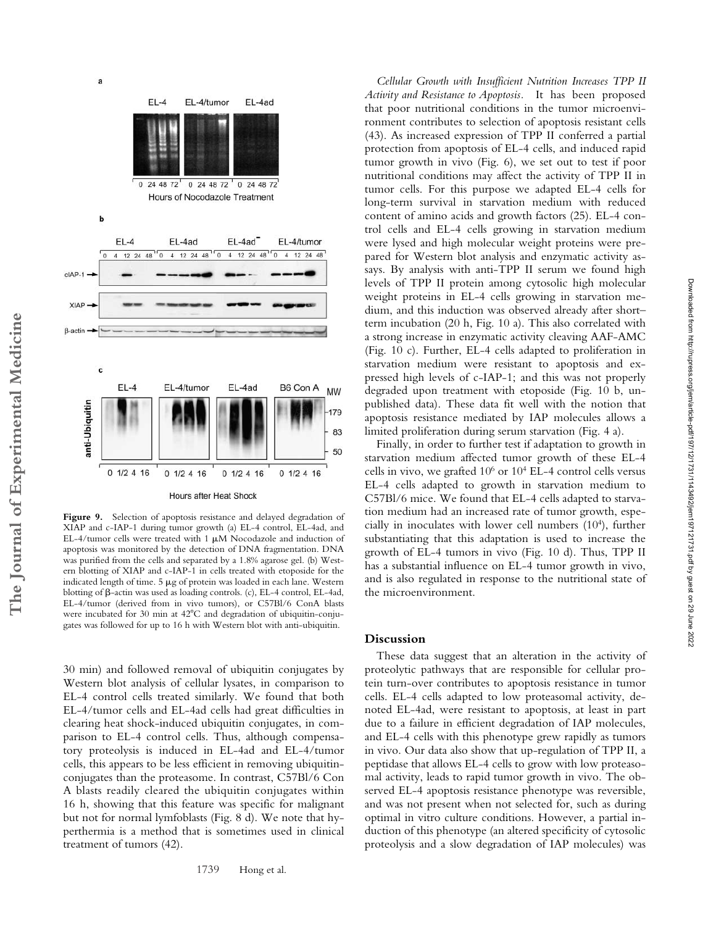

Figure 9. Selection of apoptosis resistance and delayed degradation of XIAP and c-IAP-1 during tumor growth (a) EL-4 control, EL-4ad, and EL-4/tumor cells were treated with 1  $\mu$ M Nocodazole and induction of apoptosis was monitored by the detection of DNA fragmentation. DNA was purified from the cells and separated by a 1.8% agarose gel. (b) Western blotting of XIAP and c-IAP-1 in cells treated with etoposide for the indicated length of time.  $5 \mu g$  of protein was loaded in each lane. Western blotting of  $\beta$ -actin was used as loading controls. (c), EL-4 control, EL-4ad, EL-4/tumor (derived from in vivo tumors), or C57Bl/6 ConA blasts were incubated for 30 min at  $42^{\circ}$ C and degradation of ubiquitin-conjugates was followed for up to 16 h with Western blot with anti-ubiquitin.

30 min) and followed removal of ubiquitin conjugates by Western blot analysis of cellular lysates, in comparison to EL-4 control cells treated similarly. We found that both EL-4/tumor cells and EL-4ad cells had great difficulties in clearing heat shock-induced ubiquitin conjugates, in comparison to EL-4 control cells. Thus, although compensatory proteolysis is induced in EL-4ad and EL-4/tumor cells, this appears to be less efficient in removing ubiquitinconjugates than the proteasome. In contrast, C57Bl/6 Con A blasts readily cleared the ubiquitin conjugates within 16 h, showing that this feature was specific for malignant but not for normal lymfoblasts (Fig. 8 d). We note that hyperthermia is a method that is sometimes used in clinical treatment of tumors (42).

*Cellular Growth with Insufficient Nutrition Increases TPP II Activity and Resistance to Apoptosis.* It has been proposed that poor nutritional conditions in the tumor microenvironment contributes to selection of apoptosis resistant cells (43). As increased expression of TPP II conferred a partial protection from apoptosis of EL-4 cells, and induced rapid tumor growth in vivo (Fig. 6), we set out to test if poor nutritional conditions may affect the activity of TPP II in tumor cells. For this purpose we adapted EL-4 cells for long-term survival in starvation medium with reduced content of amino acids and growth factors (25). EL-4 control cells and EL-4 cells growing in starvation medium were lysed and high molecular weight proteins were prepared for Western blot analysis and enzymatic activity assays. By analysis with anti-TPP II serum we found high levels of TPP II protein among cytosolic high molecular weight proteins in EL-4 cells growing in starvation medium, and this induction was observed already after short– term incubation (20 h, Fig. 10 a). This also correlated with a strong increase in enzymatic activity cleaving AAF-AMC (Fig. 10 c). Further, EL-4 cells adapted to proliferation in starvation medium were resistant to apoptosis and expressed high levels of c-IAP-1; and this was not properly degraded upon treatment with etoposide (Fig. 10 b, unpublished data). These data fit well with the notion that apoptosis resistance mediated by IAP molecules allows a limited proliferation during serum starvation (Fig. 4 a).

Finally, in order to further test if adaptation to growth in starvation medium affected tumor growth of these EL-4 cells in vivo, we grafted  $10^6$  or  $10^4$  EL-4 control cells versus EL-4 cells adapted to growth in starvation medium to C57Bl/6 mice. We found that EL-4 cells adapted to starvation medium had an increased rate of tumor growth, especially in inoculates with lower cell numbers (104), further substantiating that this adaptation is used to increase the growth of EL-4 tumors in vivo (Fig. 10 d). Thus, TPP II has a substantial influence on EL-4 tumor growth in vivo, and is also regulated in response to the nutritional state of the microenvironment.

## **Discussion**

MW

79 83 50

> These data suggest that an alteration in the activity of proteolytic pathways that are responsible for cellular protein turn-over contributes to apoptosis resistance in tumor cells. EL-4 cells adapted to low proteasomal activity, denoted EL-4ad, were resistant to apoptosis, at least in part due to a failure in efficient degradation of IAP molecules, and EL-4 cells with this phenotype grew rapidly as tumors in vivo. Our data also show that up-regulation of TPP II, a peptidase that allows EL-4 cells to grow with low proteasomal activity, leads to rapid tumor growth in vivo. The observed EL-4 apoptosis resistance phenotype was reversible, and was not present when not selected for, such as during optimal in vitro culture conditions. However, a partial induction of this phenotype (an altered specificity of cytosolic proteolysis and a slow degradation of IAP molecules) was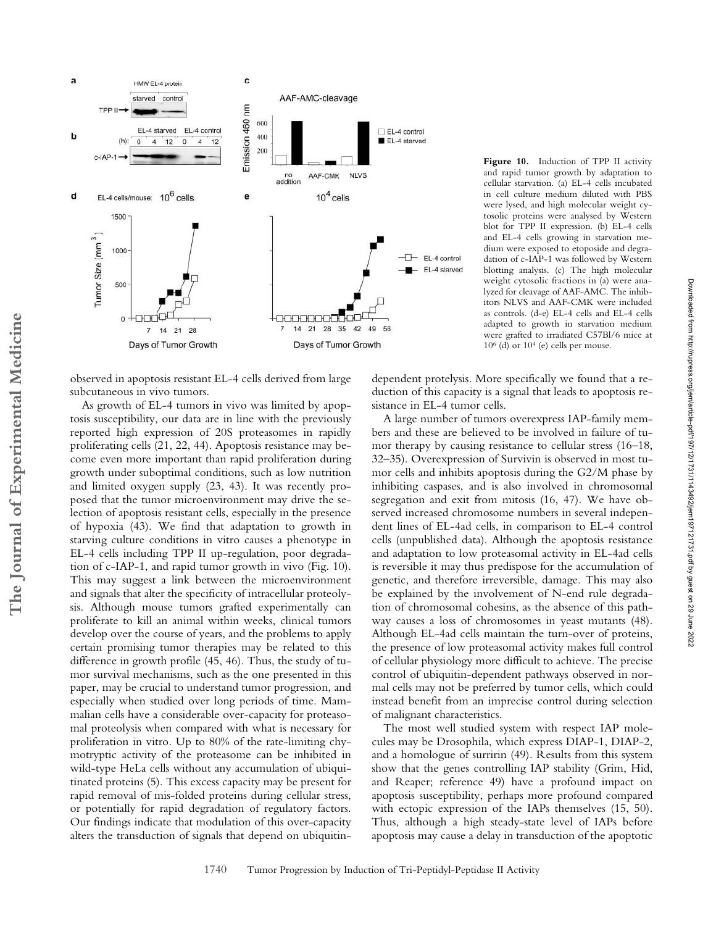

posed that the tumor microenvironment may drive the selection of apoptosis resistant cells, especially in the presence of hypoxia (43). We find that adaptation to growth in

subcutaneous in vivo tumors.

starving culture conditions in vitro causes a phenotype in EL-4 cells including TPP II up-regulation, poor degradation of c-IAP-1, and rapid tumor growth in vivo (Fig. 10). This may suggest a link between the microenvironment and signals that alter the specificity of intracellular proteolysis. Although mouse tumors grafted experimentally can proliferate to kill an animal within weeks, clinical tumors develop over the course of years, and the problems to apply certain promising tumor therapies may be related to this difference in growth profile (45, 46). Thus, the study of tumor survival mechanisms, such as the one presented in this paper, may be crucial to understand tumor progression, and especially when studied over long periods of time. Mammalian cells have a considerable over-capacity for proteasomal proteolysis when compared with what is necessary for proliferation in vitro. Up to 80% of the rate-limiting chymotryptic activity of the proteasome can be inhibited in wild-type HeLa cells without any accumulation of ubiquitinated proteins (5). This excess capacity may be present for rapid removal of mis-folded proteins during cellular stress, or potentially for rapid degradation of regulatory factors. Our findings indicate that modulation of this over-capacity

alters the transduction of signals that depend on ubiquitin-

**Figure 10.** Induction of TPP II activity and rapid tumor growth by adaptation to cellular starvation. (a) EL-4 cells incubated in cell culture medium diluted with PBS were lysed, and high molecular weight cytosolic proteins were analysed by Western blot for TPP II expression. (b) EL-4 cells and EL-4 cells growing in starvation medium were exposed to etoposide and degradation of c-IAP-1 was followed by Western blotting analysis. (c) The high molecular weight cytosolic fractions in (a) were analyzed for cleavage of AAF-AMC. The inhibitors NLVS and AAF-CMK were included as controls. (d-e) EL-4 cells and EL-4 cells adapted to growth in starvation medium were grafted to irradiated C57Bl/6 mice at  $10<sup>6</sup>$  (d) or  $10<sup>4</sup>$  (e) cells per mouse.

dependent protelysis. More specifically we found that a reduction of this capacity is a signal that leads to apoptosis resistance in EL-4 tumor cells.

A large number of tumors overexpress IAP-family members and these are believed to be involved in failure of tumor therapy by causing resistance to cellular stress (16–18, 32–35). Overexpression of Survivin is observed in most tumor cells and inhibits apoptosis during the G2/M phase by inhibiting caspases, and is also involved in chromosomal segregation and exit from mitosis (16, 47). We have observed increased chromosome numbers in several independent lines of EL-4ad cells, in comparison to EL-4 control cells (unpublished data). Although the apoptosis resistance and adaptation to low proteasomal activity in EL-4ad cells is reversible it may thus predispose for the accumulation of genetic, and therefore irreversible, damage. This may also be explained by the involvement of N-end rule degradation of chromosomal cohesins, as the absence of this pathway causes a loss of chromosomes in yeast mutants (48). Although EL-4ad cells maintain the turn-over of proteins, the presence of low proteasomal activity makes full control of cellular physiology more difficult to achieve. The precise control of ubiquitin-dependent pathways observed in normal cells may not be preferred by tumor cells, which could instead benefit from an imprecise control during selection of malignant characteristics.

The most well studied system with respect IAP molecules may be Drosophila, which express DIAP-1, DIAP-2, and a homologue of surririn (49). Results from this system show that the genes controlling IAP stability (Grim, Hid, and Reaper; reference 49) have a profound impact on apoptosis susceptibility, perhaps more profound compared with ectopic expression of the IAPs themselves (15, 50). Thus, although a high steady-state level of IAPs before apoptosis may cause a delay in transduction of the apoptotic

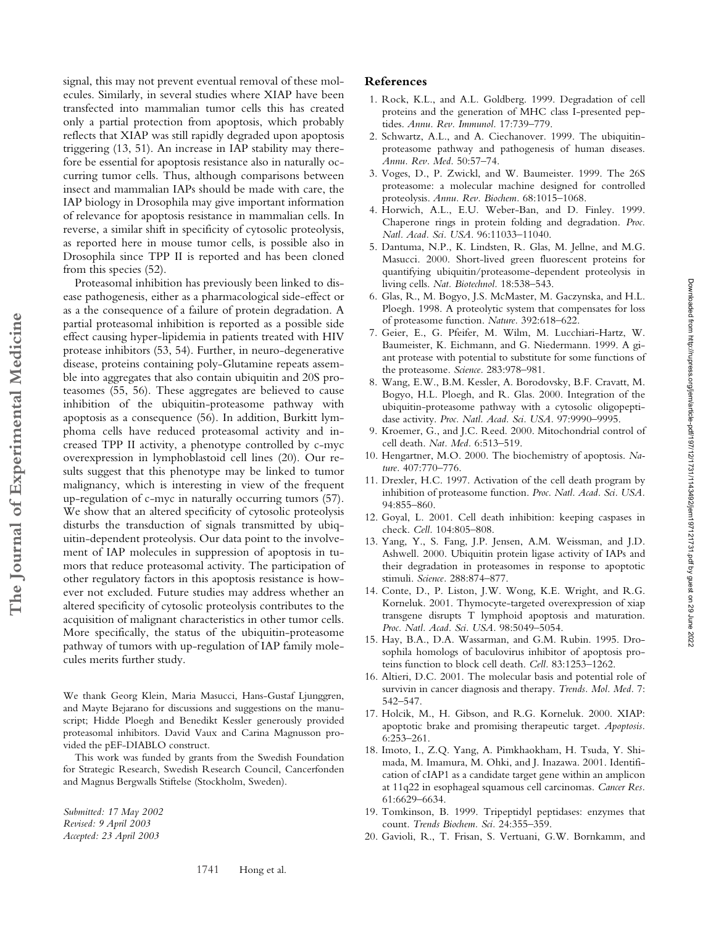signal, this may not prevent eventual removal of these molecules. Similarly, in several studies where XIAP have been transfected into mammalian tumor cells this has created only a partial protection from apoptosis, which probably reflects that XIAP was still rapidly degraded upon apoptosis triggering (13, 51). An increase in IAP stability may therefore be essential for apoptosis resistance also in naturally occurring tumor cells. Thus, although comparisons between insect and mammalian IAPs should be made with care, the IAP biology in Drosophila may give important information of relevance for apoptosis resistance in mammalian cells. In reverse, a similar shift in specificity of cytosolic proteolysis, as reported here in mouse tumor cells, is possible also in Drosophila since TPP II is reported and has been cloned from this species (52).

Proteasomal inhibition has previously been linked to disease pathogenesis, either as a pharmacological side-effect or as a the consequence of a failure of protein degradation. A partial proteasomal inhibition is reported as a possible side effect causing hyper-lipidemia in patients treated with HIV protease inhibitors (53, 54). Further, in neuro-degenerative disease, proteins containing poly-Glutamine repeats assemble into aggregates that also contain ubiquitin and 20S proteasomes (55, 56). These aggregates are believed to cause inhibition of the ubiquitin-proteasome pathway with apoptosis as a consequence (56). In addition, Burkitt lymphoma cells have reduced proteasomal activity and increased TPP II activity, a phenotype controlled by c-myc overexpression in lymphoblastoid cell lines (20). Our results suggest that this phenotype may be linked to tumor malignancy, which is interesting in view of the frequent up-regulation of c-myc in naturally occurring tumors (57). We show that an altered specificity of cytosolic proteolysis disturbs the transduction of signals transmitted by ubiquitin-dependent proteolysis. Our data point to the involvement of IAP molecules in suppression of apoptosis in tumors that reduce proteasomal activity. The participation of other regulatory factors in this apoptosis resistance is however not excluded. Future studies may address whether an altered specificity of cytosolic proteolysis contributes to the acquisition of malignant characteristics in other tumor cells. More specifically, the status of the ubiquitin-proteasome pathway of tumors with up-regulation of IAP family molecules merits further study.

We thank Georg Klein, Maria Masucci, Hans-Gustaf Ljunggren, and Mayte Bejarano for discussions and suggestions on the manuscript; Hidde Ploegh and Benedikt Kessler generously provided proteasomal inhibitors. David Vaux and Carina Magnusson provided the pEF-DIABLO construct.

This work was funded by grants from the Swedish Foundation for Strategic Research, Swedish Research Council, Cancerfonden and Magnus Bergwalls Stiftelse (Stockholm, Sweden).

*Submitted: 17 May 2002 Revised: 9 April 2003 Accepted: 23 April 2003*

**The Journal of Experimental Medicine**

The Journal of Experimental Medicine

### **References**

- 1. Rock, K.L., and A.L. Goldberg. 1999. Degradation of cell proteins and the generation of MHC class I-presented peptides. *Annu. Rev. Immunol.* 17:739–779.
- 2. Schwartz, A.L., and A. Ciechanover. 1999. The ubiquitinproteasome pathway and pathogenesis of human diseases. *Annu. Rev. Med.* 50:57–74.
- 3. Voges, D., P. Zwickl, and W. Baumeister. 1999. The 26S proteasome: a molecular machine designed for controlled proteolysis. *Annu. Rev. Biochem.* 68:1015–1068.
- 4. Horwich, A.L., E.U. Weber-Ban, and D. Finley. 1999. Chaperone rings in protein folding and degradation. *Proc. Natl. Acad. Sci. USA.* 96:11033–11040.
- 5. Dantuma, N.P., K. Lindsten, R. Glas, M. Jellne, and M.G. Masucci. 2000. Short-lived green fluorescent proteins for quantifying ubiquitin/proteasome-dependent proteolysis in living cells. *Nat. Biotechnol.* 18:538–543.
- 6. Glas, R., M. Bogyo, J.S. McMaster, M. Gaczynska, and H.L. Ploegh. 1998. A proteolytic system that compensates for loss of proteasome function. *Nature.* 392:618–622.
- 7. Geier, E., G. Pfeifer, M. Wilm, M. Lucchiari-Hartz, W. Baumeister, K. Eichmann, and G. Niedermann. 1999. A giant protease with potential to substitute for some functions of the proteasome. *Science.* 283:978–981.
- 8. Wang, E.W., B.M. Kessler, A. Borodovsky, B.F. Cravatt, M. Bogyo, H.L. Ploegh, and R. Glas. 2000. Integration of the ubiquitin-proteasome pathway with a cytosolic oligopeptidase activity. *Proc. Natl. Acad. Sci. USA.* 97:9990–9995.
- 9. Kroemer, G., and J.C. Reed. 2000. Mitochondrial control of cell death. *Nat. Med.* 6:513–519.
- 10. Hengartner, M.O. 2000. The biochemistry of apoptosis. *Nature.* 407:770–776.
- 11. Drexler, H.C. 1997. Activation of the cell death program by inhibition of proteasome function. *Proc. Natl. Acad. Sci. USA.* 94:855–860.
- 12. Goyal, L. 2001. Cell death inhibition: keeping caspases in check. *Cell.* 104:805–808.
- 13. Yang, Y., S. Fang, J.P. Jensen, A.M. Weissman, and J.D. Ashwell. 2000. Ubiquitin protein ligase activity of IAPs and their degradation in proteasomes in response to apoptotic stimuli. *Science.* 288:874–877.
- 14. Conte, D., P. Liston, J.W. Wong, K.E. Wright, and R.G. Korneluk. 2001. Thymocyte-targeted overexpression of xiap transgene disrupts T lymphoid apoptosis and maturation. *Proc. Natl. Acad. Sci. USA.* 98:5049–5054.
- 15. Hay, B.A., D.A. Wassarman, and G.M. Rubin. 1995. Drosophila homologs of baculovirus inhibitor of apoptosis proteins function to block cell death. *Cell.* 83:1253–1262.
- 16. Altieri, D.C. 2001. The molecular basis and potential role of survivin in cancer diagnosis and therapy. *Trends. Mol. Med.* 7: 542–547.
- 17. Holcik, M., H. Gibson, and R.G. Korneluk. 2000. XIAP: apoptotic brake and promising therapeutic target. *Apoptosis.* 6:253–261.
- 18. Imoto, I., Z.Q. Yang, A. Pimkhaokham, H. Tsuda, Y. Shimada, M. Imamura, M. Ohki, and J. Inazawa. 2001. Identification of cIAP1 as a candidate target gene within an amplicon at 11q22 in esophageal squamous cell carcinomas. *Cancer Res.* 61:6629–6634.
- 19. Tomkinson, B. 1999. Tripeptidyl peptidases: enzymes that count. *Trends Biochem. Sci.* 24:355–359.
- 20. Gavioli, R., T. Frisan, S. Vertuani, G.W. Bornkamm, and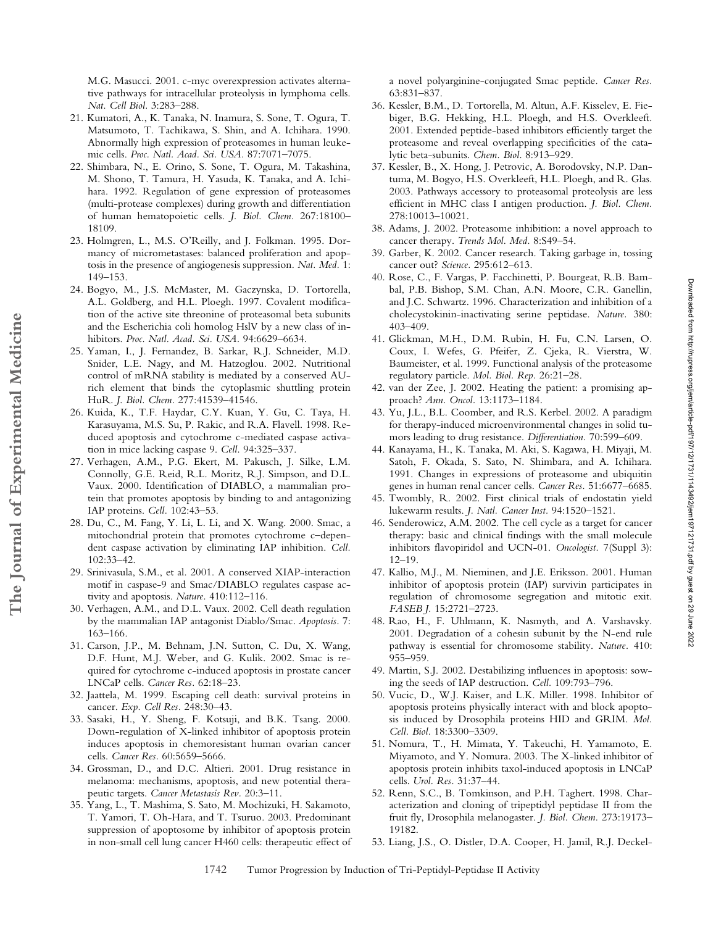M.G. Masucci. 2001. c-myc overexpression activates alternative pathways for intracellular proteolysis in lymphoma cells. *Nat. Cell Biol.* 3:283–288.

- 21. Kumatori, A., K. Tanaka, N. Inamura, S. Sone, T. Ogura, T. Matsumoto, T. Tachikawa, S. Shin, and A. Ichihara. 1990. Abnormally high expression of proteasomes in human leukemic cells. *Proc. Natl. Acad. Sci. USA.* 87:7071–7075.
- 22. Shimbara, N., E. Orino, S. Sone, T. Ogura, M. Takashina, M. Shono, T. Tamura, H. Yasuda, K. Tanaka, and A. Ichihara. 1992. Regulation of gene expression of proteasomes (multi-protease complexes) during growth and differentiation of human hematopoietic cells. *J. Biol. Chem.* 267:18100– 18109.
- 23. Holmgren, L., M.S. O'Reilly, and J. Folkman. 1995. Dormancy of micrometastases: balanced proliferation and apoptosis in the presence of angiogenesis suppression. *Nat. Med.* 1: 149–153.
- 24. Bogyo, M., J.S. McMaster, M. Gaczynska, D. Tortorella, A.L. Goldberg, and H.L. Ploegh. 1997. Covalent modification of the active site threonine of proteasomal beta subunits and the Escherichia coli homolog HslV by a new class of inhibitors. *Proc. Natl. Acad. Sci. USA.* 94:6629–6634.
- 25. Yaman, I., J. Fernandez, B. Sarkar, R.J. Schneider, M.D. Snider, L.E. Nagy, and M. Hatzoglou. 2002. Nutritional control of mRNA stability is mediated by a conserved AUrich element that binds the cytoplasmic shuttling protein HuR. *J. Biol. Chem.* 277:41539–41546.
- 26. Kuida, K., T.F. Haydar, C.Y. Kuan, Y. Gu, C. Taya, H. Karasuyama, M.S. Su, P. Rakic, and R.A. Flavell. 1998. Reduced apoptosis and cytochrome c-mediated caspase activation in mice lacking caspase 9. *Cell.* 94:325–337.
- 27. Verhagen, A.M., P.G. Ekert, M. Pakusch, J. Silke, L.M. Connolly, G.E. Reid, R.L. Moritz, R.J. Simpson, and D.L. Vaux. 2000. Identification of DIABLO, a mammalian protein that promotes apoptosis by binding to and antagonizing IAP proteins. *Cell.* 102:43–53.

**The Journal of Experimental Medicine**

The Journal of Experimental Medicine

- 28. Du, C., M. Fang, Y. Li, L. Li, and X. Wang. 2000. Smac, a mitochondrial protein that promotes cytochrome c–dependent caspase activation by eliminating IAP inhibition. *Cell.* 102:33–42.
- 29. Srinivasula, S.M., et al. 2001. A conserved XIAP-interaction motif in caspase-9 and Smac/DIABLO regulates caspase activity and apoptosis. *Nature.* 410:112–116.
- 30. Verhagen, A.M., and D.L. Vaux. 2002. Cell death regulation by the mammalian IAP antagonist Diablo/Smac. *Apoptosis.* 7: 163–166.
- 31. Carson, J.P., M. Behnam, J.N. Sutton, C. Du, X. Wang, D.F. Hunt, M.J. Weber, and G. Kulik. 2002. Smac is required for cytochrome c-induced apoptosis in prostate cancer LNCaP cells. *Cancer Res.* 62:18–23.
- 32. Jaattela, M. 1999. Escaping cell death: survival proteins in cancer. *Exp. Cell Res.* 248:30–43.
- 33. Sasaki, H., Y. Sheng, F. Kotsuji, and B.K. Tsang. 2000. Down-regulation of X-linked inhibitor of apoptosis protein induces apoptosis in chemoresistant human ovarian cancer cells. *Cancer Res.* 60:5659–5666.
- 34. Grossman, D., and D.C. Altieri. 2001. Drug resistance in melanoma: mechanisms, apoptosis, and new potential therapeutic targets. *Cancer Metastasis Rev.* 20:3–11.
- 35. Yang, L., T. Mashima, S. Sato, M. Mochizuki, H. Sakamoto, T. Yamori, T. Oh-Hara, and T. Tsuruo. 2003. Predominant suppression of apoptosome by inhibitor of apoptosis protein in non-small cell lung cancer H460 cells: therapeutic effect of

a novel polyarginine-conjugated Smac peptide. *Cancer Res.* 63:831–837.

- 36. Kessler, B.M., D. Tortorella, M. Altun, A.F. Kisselev, E. Fiebiger, B.G. Hekking, H.L. Ploegh, and H.S. Overkleeft. 2001. Extended peptide-based inhibitors efficiently target the proteasome and reveal overlapping specificities of the catalytic beta-subunits. *Chem. Biol.* 8:913–929.
- 37. Kessler, B., X. Hong, J. Petrovic, A. Borodovsky, N.P. Dantuma, M. Bogyo, H.S. Overkleeft, H.L. Ploegh, and R. Glas. 2003. Pathways accessory to proteasomal proteolysis are less efficient in MHC class I antigen production. *J. Biol. Chem.* 278:10013–10021.
- 38. Adams, J. 2002. Proteasome inhibition: a novel approach to cancer therapy. *Trends Mol. Med.* 8:S49–54.
- 39. Garber, K. 2002. Cancer research. Taking garbage in, tossing cancer out? *Science.* 295:612–613.
- 40. Rose, C., F. Vargas, P. Facchinetti, P. Bourgeat, R.B. Bambal, P.B. Bishop, S.M. Chan, A.N. Moore, C.R. Ganellin, and J.C. Schwartz. 1996. Characterization and inhibition of a cholecystokinin-inactivating serine peptidase. *Nature.* 380: 403–409.
- 41. Glickman, M.H., D.M. Rubin, H. Fu, C.N. Larsen, O. Coux, I. Wefes, G. Pfeifer, Z. Cjeka, R. Vierstra, W. Baumeister, et al. 1999. Functional analysis of the proteasome regulatory particle. *Mol. Biol. Rep.* 26:21–28.
- 42. van der Zee, J. 2002. Heating the patient: a promising approach? *Ann. Oncol.* 13:1173–1184.
- 43. Yu, J.L., B.L. Coomber, and R.S. Kerbel. 2002. A paradigm for therapy-induced microenvironmental changes in solid tumors leading to drug resistance. *Differentiation.* 70:599–609.
- 44. Kanayama, H., K. Tanaka, M. Aki, S. Kagawa, H. Miyaji, M. Satoh, F. Okada, S. Sato, N. Shimbara, and A. Ichihara. 1991. Changes in expressions of proteasome and ubiquitin genes in human renal cancer cells. *Cancer Res.* 51:6677–6685.
- 45. Twombly, R. 2002. First clinical trials of endostatin yield lukewarm results. *J. Natl. Cancer Inst.* 94:1520–1521.
- 46. Senderowicz, A.M. 2002. The cell cycle as a target for cancer therapy: basic and clinical findings with the small molecule inhibitors flavopiridol and UCN-01. *Oncologist.* 7(Suppl 3): 12–19.
- 47. Kallio, M.J., M. Nieminen, and J.E. Eriksson. 2001. Human inhibitor of apoptosis protein (IAP) survivin participates in regulation of chromosome segregation and mitotic exit. *FASEB J.* 15:2721–2723.
- 48. Rao, H., F. Uhlmann, K. Nasmyth, and A. Varshavsky. 2001. Degradation of a cohesin subunit by the N-end rule pathway is essential for chromosome stability. *Nature.* 410: 955–959.
- 49. Martin, S.J. 2002. Destabilizing influences in apoptosis: sowing the seeds of IAP destruction. *Cell.* 109:793–796.
- 50. Vucic, D., W.J. Kaiser, and L.K. Miller. 1998. Inhibitor of apoptosis proteins physically interact with and block apoptosis induced by Drosophila proteins HID and GRIM. *Mol. Cell. Biol.* 18:3300–3309.
- 51. Nomura, T., H. Mimata, Y. Takeuchi, H. Yamamoto, E. Miyamoto, and Y. Nomura. 2003. The X-linked inhibitor of apoptosis protein inhibits taxol-induced apoptosis in LNCaP cells. *Urol. Res.* 31:37–44.
- 52. Renn, S.C., B. Tomkinson, and P.H. Taghert. 1998. Characterization and cloning of tripeptidyl peptidase II from the fruit fly, Drosophila melanogaster. *J. Biol. Chem.* 273:19173– 19182.
- 53. Liang, J.S., O. Distler, D.A. Cooper, H. Jamil, R.J. Deckel-